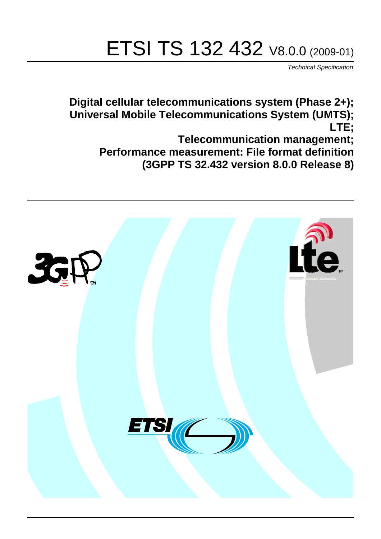# ETSI TS 132 432 V8.0.0 (2009-01)

*Technical Specification*

**Digital cellular telecommunications system (Phase 2+); Universal Mobile Telecommunications System (UMTS); LTE; Telecommunication management;**

**Performance measurement: File format definition (3GPP TS 32.432 version 8.0.0 Release 8)**

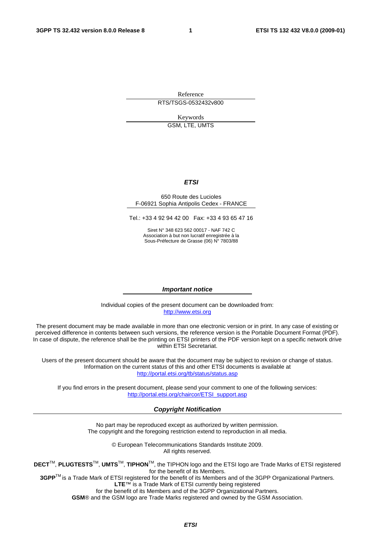Reference RTS/TSGS-0532432v800

Keywords

GSM, LTE, UMTS

### *ETSI*

### 650 Route des Lucioles F-06921 Sophia Antipolis Cedex - FRANCE

Tel.: +33 4 92 94 42 00 Fax: +33 4 93 65 47 16

Siret N° 348 623 562 00017 - NAF 742 C Association à but non lucratif enregistrée à la Sous-Préfecture de Grasse (06) N° 7803/88

### *Important notice*

Individual copies of the present document can be downloaded from: [http://www.etsi.org](http://www.etsi.org/)

The present document may be made available in more than one electronic version or in print. In any case of existing or perceived difference in contents between such versions, the reference version is the Portable Document Format (PDF). In case of dispute, the reference shall be the printing on ETSI printers of the PDF version kept on a specific network drive within ETSI Secretariat.

Users of the present document should be aware that the document may be subject to revision or change of status. Information on the current status of this and other ETSI documents is available at <http://portal.etsi.org/tb/status/status.asp>

If you find errors in the present document, please send your comment to one of the following services: [http://portal.etsi.org/chaircor/ETSI\\_support.asp](http://portal.etsi.org/chaircor/ETSI_support.asp)

### *Copyright Notification*

No part may be reproduced except as authorized by written permission. The copyright and the foregoing restriction extend to reproduction in all media.

> © European Telecommunications Standards Institute 2009. All rights reserved.

**DECT**TM, **PLUGTESTS**TM, **UMTS**TM, **TIPHON**TM, the TIPHON logo and the ETSI logo are Trade Marks of ETSI registered for the benefit of its Members.

**3GPP**TM is a Trade Mark of ETSI registered for the benefit of its Members and of the 3GPP Organizational Partners. **LTE**™ is a Trade Mark of ETSI currently being registered

for the benefit of its Members and of the 3GPP Organizational Partners.

**GSM**® and the GSM logo are Trade Marks registered and owned by the GSM Association.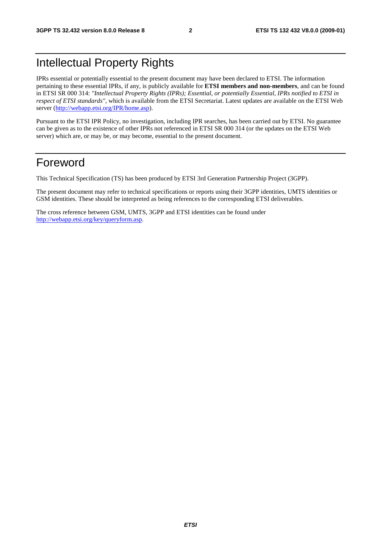# Intellectual Property Rights

IPRs essential or potentially essential to the present document may have been declared to ETSI. The information pertaining to these essential IPRs, if any, is publicly available for **ETSI members and non-members**, and can be found in ETSI SR 000 314: *"Intellectual Property Rights (IPRs); Essential, or potentially Essential, IPRs notified to ETSI in respect of ETSI standards"*, which is available from the ETSI Secretariat. Latest updates are available on the ETSI Web server ([http://webapp.etsi.org/IPR/home.asp\)](http://webapp.etsi.org/IPR/home.asp).

Pursuant to the ETSI IPR Policy, no investigation, including IPR searches, has been carried out by ETSI. No guarantee can be given as to the existence of other IPRs not referenced in ETSI SR 000 314 (or the updates on the ETSI Web server) which are, or may be, or may become, essential to the present document.

# Foreword

This Technical Specification (TS) has been produced by ETSI 3rd Generation Partnership Project (3GPP).

The present document may refer to technical specifications or reports using their 3GPP identities, UMTS identities or GSM identities. These should be interpreted as being references to the corresponding ETSI deliverables.

The cross reference between GSM, UMTS, 3GPP and ETSI identities can be found under [http://webapp.etsi.org/key/queryform.asp.](http://webapp.etsi.org/key/queryform.asp)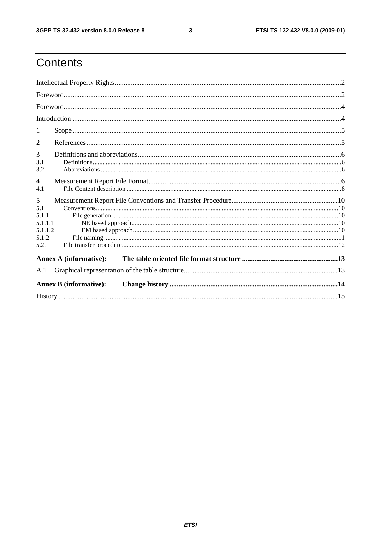$\mathbf{3}$ 

# Contents

| 1                                                        |  |
|----------------------------------------------------------|--|
| 2                                                        |  |
| 3<br>3.1<br>3.2                                          |  |
| $\overline{4}$<br>4.1                                    |  |
| 5<br>5.1<br>5.1.1<br>5.1.1.1<br>5.1.1.2<br>5.1.2<br>5.2. |  |
| <b>Annex A (informative):</b>                            |  |
| A.1                                                      |  |
| <b>Annex B</b> (informative):                            |  |
|                                                          |  |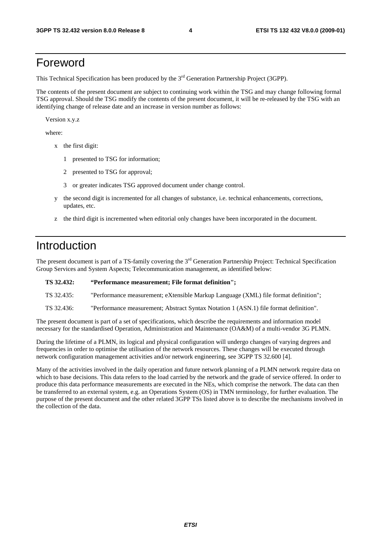# Foreword

This Technical Specification has been produced by the 3<sup>rd</sup> Generation Partnership Project (3GPP).

The contents of the present document are subject to continuing work within the TSG and may change following formal TSG approval. Should the TSG modify the contents of the present document, it will be re-released by the TSG with an identifying change of release date and an increase in version number as follows:

Version x.y.z

where:

- x the first digit:
	- 1 presented to TSG for information;
	- 2 presented to TSG for approval;
	- 3 or greater indicates TSG approved document under change control.
- y the second digit is incremented for all changes of substance, i.e. technical enhancements, corrections, updates, etc.
- z the third digit is incremented when editorial only changes have been incorporated in the document.

# Introduction

The present document is part of a TS-family covering the 3<sup>rd</sup> Generation Partnership Project: Technical Specification Group Services and System Aspects; Telecommunication management, as identified below:

| TS 32.432: | "Performance measurement; File format definition"; |  |  |  |
|------------|----------------------------------------------------|--|--|--|
|------------|----------------------------------------------------|--|--|--|

TS 32.435: "Performance measurement; eXtensible Markup Language (XML) file format definition";

TS 32.436: "Performance measurement; Abstract Syntax Notation 1 (ASN.1) file format definition".

The present document is part of a set of specifications, which describe the requirements and information model necessary for the standardised Operation, Administration and Maintenance (OA&M) of a multi-vendor 3G PLMN.

During the lifetime of a PLMN, its logical and physical configuration will undergo changes of varying degrees and frequencies in order to optimise the utilisation of the network resources. These changes will be executed through network configuration management activities and/or network engineering, see 3GPP TS 32.600 [4].

Many of the activities involved in the daily operation and future network planning of a PLMN network require data on which to base decisions. This data refers to the load carried by the network and the grade of service offered. In order to produce this data performance measurements are executed in the NEs, which comprise the network. The data can then be transferred to an external system, e.g. an Operations System (OS) in TMN terminology, for further evaluation. The purpose of the present document and the other related 3GPP TSs listed above is to describe the mechanisms involved in the collection of the data.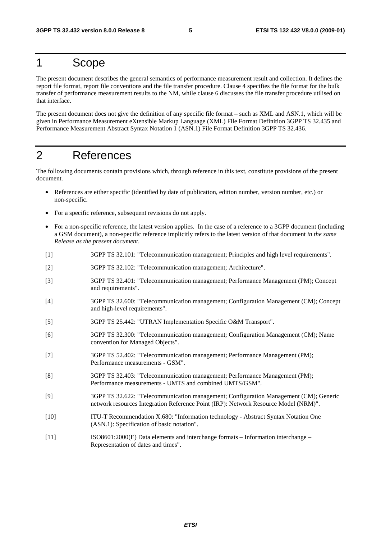# 1 Scope

The present document describes the general semantics of performance measurement result and collection. It defines the report file format, report file conventions and the file transfer procedure. Clause 4 specifies the file format for the bulk transfer of performance measurement results to the NM, while clause 6 discusses the file transfer procedure utilised on that interface.

The present document does not give the definition of any specific file format – such as XML and ASN.1, which will be given in Performance Measurement eXtensible Markup Language (XML) File Format Definition 3GPP TS 32.435 and Performance Measurement Abstract Syntax Notation 1 (ASN.1) File Format Definition 3GPP TS 32.436.

# 2 References

The following documents contain provisions which, through reference in this text, constitute provisions of the present document.

- References are either specific (identified by date of publication, edition number, version number, etc.) or non-specific.
- For a specific reference, subsequent revisions do not apply.
- For a non-specific reference, the latest version applies. In the case of a reference to a 3GPP document (including a GSM document), a non-specific reference implicitly refers to the latest version of that document *in the same Release as the present document*.
- [1] 3GPP TS 32.101: "Telecommunication management; Principles and high level requirements".
- [2] 3GPP TS 32.102: "Telecommunication management; Architecture".
- [3] 3GPP TS 32.401: "Telecommunication management; Performance Management (PM); Concept and requirements".
- [4] 3GPP TS 32.600: "Telecommunication management; Configuration Management (CM); Concept and high-level requirements".
- [5] 3GPP TS 25.442: "UTRAN Implementation Specific O&M Transport".
- [6] 3GPP TS 32.300: "Telecommunication management; Configuration Management (CM); Name convention for Managed Objects".
- [7] 3GPP TS 52.402: "Telecommunication management; Performance Management (PM); Performance measurements - GSM".
- [8] 3GPP TS 32.403: "Telecommunication management; Performance Management (PM); Performance measurements - UMTS and combined UMTS/GSM".
- [9] 3GPP TS 32.622: "Telecommunication management; Configuration Management (CM); Generic network resources Integration Reference Point (IRP): Network Resource Model (NRM)".
- [10] ITU-T Recommendation X.680: "Information technology Abstract Syntax Notation One (ASN.1): Specification of basic notation".
- [11] ISO8601:2000(E) Data elements and interchange formats Information interchange Representation of dates and times".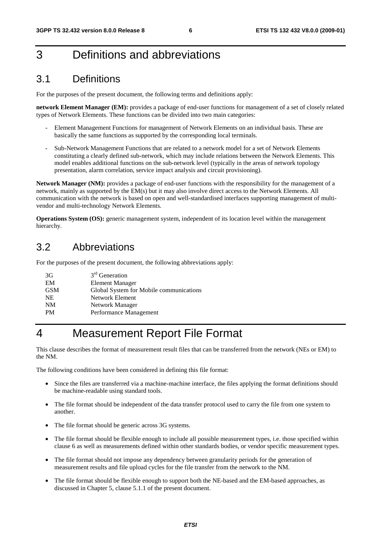# 3 Definitions and abbreviations

# 3.1 Definitions

For the purposes of the present document, the following terms and definitions apply:

**network Element Manager (EM):** provides a package of end-user functions for management of a set of closely related types of Network Elements. These functions can be divided into two main categories:

- Element Management Functions for management of Network Elements on an individual basis. These are basically the same functions as supported by the corresponding local terminals.
- Sub-Network Management Functions that are related to a network model for a set of Network Elements constituting a clearly defined sub-network, which may include relations between the Network Elements. This model enables additional functions on the sub-network level (typically in the areas of network topology presentation, alarm correlation, service impact analysis and circuit provisioning).

**Network Manager (NM):** provides a package of end-user functions with the responsibility for the management of a network, mainly as supported by the EM(s) but it may also involve direct access to the Network Elements. All communication with the network is based on open and well-standardised interfaces supporting management of multivendor and multi-technology Network Elements.

**Operations System (OS):** generic management system, independent of its location level within the management hierarchy.

# 3.2 Abbreviations

For the purposes of the present document, the following abbreviations apply:

| 3G         | $3rd$ Generation                        |
|------------|-----------------------------------------|
| EM         | <b>Element Manager</b>                  |
| <b>GSM</b> | Global System for Mobile communications |
| <b>NE</b>  | Network Element                         |
| NM         | Network Manager                         |
| <b>PM</b>  | Performance Management                  |
|            |                                         |

# 4 Measurement Report File Format

This clause describes the format of measurement result files that can be transferred from the network (NEs or EM) to the NM.

The following conditions have been considered in defining this file format:

- Since the files are transferred via a machine-machine interface, the files applying the format definitions should be machine-readable using standard tools.
- The file format should be independent of the data transfer protocol used to carry the file from one system to another.
- The file format should be generic across 3G systems.
- The file format should be flexible enough to include all possible measurement types, i.e. those specified within clause 6 as well as measurements defined within other standards bodies, or vendor specific measurement types.
- The file format should not impose any dependency between granularity periods for the generation of measurement results and file upload cycles for the file transfer from the network to the NM.
- The file format should be flexible enough to support both the NE-based and the EM-based approaches, as discussed in Chapter 5, clause 5.1.1 of the present document.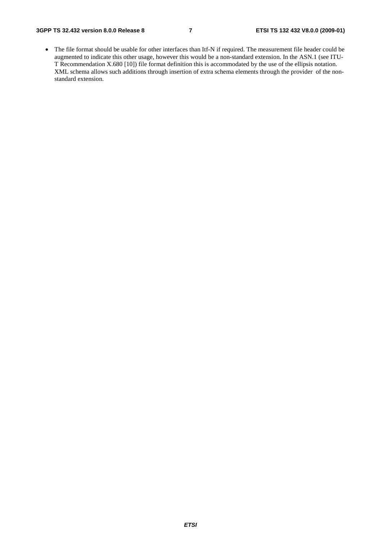• The file format should be usable for other interfaces than Itf-N if required. The measurement file header could be augmented to indicate this other usage, however this would be a non-standard extension. In the ASN.1 (see ITU-T Recommendation X.680 [10]) file format definition this is accommodated by the use of the ellipsis notation. XML schema allows such additions through insertion of extra schema elements through the provider of the nonstandard extension.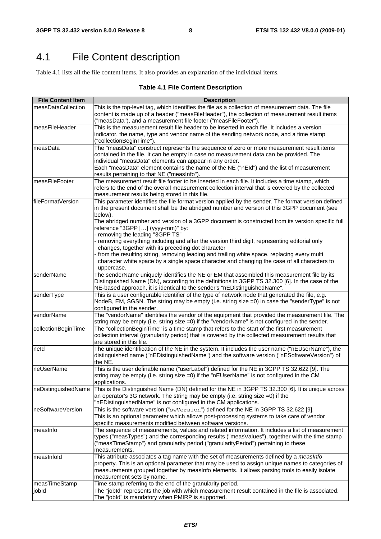# 4.1 File Content description

Table 4.1 lists all the file content items. It also provides an explanation of the individual items.

### **Table 4.1 File Content Description**

| <b>File Content Item</b> | <b>Description</b>                                                                                  |
|--------------------------|-----------------------------------------------------------------------------------------------------|
| measDataCollection       | This is the top-level tag, which identifies the file as a collection of measurement data. The file  |
|                          | content is made up of a header ("measFileHeader"), the collection of measurement result items       |
|                          | ("measData"), and a measurement file footer ("measFileFooter").                                     |
|                          | This is the measurement result file header to be inserted in each file. It includes a version       |
| measFileHeader           |                                                                                                     |
|                          | indicator, the name, type and vendor name of the sending network node, and a time stamp             |
|                          | ("collectionBeginTime").                                                                            |
| measData                 | The "measData" construct represents the sequence of zero or more measurement result items           |
|                          | contained in the file. It can be empty in case no measurement data can be provided. The             |
|                          | individual "measData" elements can appear in any order.                                             |
|                          | Each "measData" element contains the name of the NE ("nEId") and the list of measurement            |
|                          | results pertaining to that NE ("measInfo").                                                         |
| measFileFooter           | The measurement result file footer to be inserted in each file. It includes a time stamp, which     |
|                          | refers to the end of the overall measurement collection interval that is covered by the collected   |
|                          | measurement results being stored in this file.                                                      |
| fileFormatVersion        | This parameter identifies the file format version applied by the sender. The format version defined |
|                          | in the present document shall be the abridged number and version of this 3GPP document (see         |
|                          | below).                                                                                             |
|                          | The abridged number and version of a 3GPP document is constructed from its version specific full    |
|                          | reference "3GPP [] (yyyy-mm)" by:                                                                   |
|                          | - removing the leading "3GPP TS"                                                                    |
|                          | removing everything including and after the version third digit, representing editorial only        |
|                          | changes, together with its preceding dot character                                                  |
|                          | from the resulting string, removing leading and trailing white space, replacing every multi         |
|                          | character white space by a single space character and changing the case of all characters to        |
|                          | uppercase.                                                                                          |
| senderName               | The senderName uniquely identifies the NE or EM that assembled this measurement file by its         |
|                          | Distinguished Name (DN), according to the definitions in 3GPP TS 32.300 [6]. In the case of the     |
|                          | NE-based approach, it is identical to the sender's "nEDistinguishedName".                           |
| senderType               | This is a user configurable identifier of the type of network node that generated the file, e.g.    |
|                          | NodeB, EM, SGSN. The string may be empty (i.e. string size =0) in case the "senderType" is not      |
|                          | configured in the sender.                                                                           |
| vendorName               | The "vendorName" identifies the vendor of the equipment that provided the measurement file. The     |
|                          | string may be empty (i.e. string size $=0$ ) if the "vendorName" is not configured in the sender.   |
| collectionBeginTime      | The "collectionBeginTime" is a time stamp that refers to the start of the first measurement         |
|                          | collection interval (granularity period) that is covered by the collected measurement results that  |
|                          | are stored in this file.                                                                            |
| neld                     | The unique identification of the NE in the system. It includes the user name ("nEUserName"), the    |
|                          | distinguished name ("nEDistinguishedName") and the software version ("nESoftwareVersion") of        |
|                          | the NE.                                                                                             |
| neUserName               |                                                                                                     |
|                          | This is the user definable name ("userLabel") defined for the NE in 3GPP TS 32.622 [9]. The         |
|                          | string may be empty (i.e. string size =0) if the "nEUserName" is not configured in the CM           |
|                          | applications.                                                                                       |
| neDistinguishedName      | This is the Distinguished Name (DN) defined for the NE in 3GPP TS 32.300 [6]. It is unique across   |
|                          | an operator's 3G network. The string may be empty (i.e. string size =0) if the                      |
|                          | "nEDistinguishedName" is not configured in the CM applications.                                     |
| neSoftwareVersion        | This is the software version ("swVersion") defined for the NE in 3GPP TS 32.622 [9].                |
|                          | This is an optional parameter which allows post-processing systems to take care of vendor           |
|                          | specific measurements modified between software versions.                                           |
| measinfo                 | The sequence of measurements, values and related information. It includes a list of measurement     |
|                          | types ("measTypes") and the corresponding results ("measValues"), together with the time stamp      |
|                          | ("measTimeStamp") and granularity period ("granularityPeriod") pertaining to these                  |
|                          | measurements.                                                                                       |
| measInfold               | This attribute associates a tag name with the set of measurements defined by a measInfo             |
|                          | property. This is an optional parameter that may be used to assign unique names to categories of    |
|                          | measurements grouped together by measInfo elements. It allows parsing tools to easily isolate       |
|                          | measurement sets by name.                                                                           |
| measTimeStamp            | Time stamp referring to the end of the granularity period.                                          |
| jobld                    | The "jobld" represents the job with which measurement result contained in the file is associated.   |
|                          | The "jobld" is mandatory when PMIRP is supported.                                                   |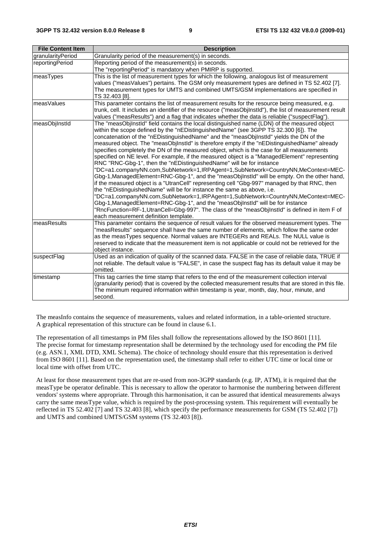| <b>File Content Item</b> | <b>Description</b>                                                                                                                                                                                                                                                                                                                                                                                                                                                                                                                                                                                                                                                                                                                                                                                                                                                                                                                                                                                                                                                                                                                                                                                                                                                                                                                   |
|--------------------------|--------------------------------------------------------------------------------------------------------------------------------------------------------------------------------------------------------------------------------------------------------------------------------------------------------------------------------------------------------------------------------------------------------------------------------------------------------------------------------------------------------------------------------------------------------------------------------------------------------------------------------------------------------------------------------------------------------------------------------------------------------------------------------------------------------------------------------------------------------------------------------------------------------------------------------------------------------------------------------------------------------------------------------------------------------------------------------------------------------------------------------------------------------------------------------------------------------------------------------------------------------------------------------------------------------------------------------------|
| granularityPeriod        | Granularity period of the measurement(s) in seconds.                                                                                                                                                                                                                                                                                                                                                                                                                                                                                                                                                                                                                                                                                                                                                                                                                                                                                                                                                                                                                                                                                                                                                                                                                                                                                 |
| reportingPeriod          | Reporting period of the measurement(s) in seconds.<br>The "reportingPeriod" is mandatory when PMIRP is supported.                                                                                                                                                                                                                                                                                                                                                                                                                                                                                                                                                                                                                                                                                                                                                                                                                                                                                                                                                                                                                                                                                                                                                                                                                    |
| measTypes                | This is the list of measurement types for which the following, analogous list of measurement<br>values ("measValues") pertains. The GSM only measurement types are defined in TS 52.402 [7].<br>The measurement types for UMTS and combined UMTS/GSM implementations are specified in<br>TS 32.403 [8].                                                                                                                                                                                                                                                                                                                                                                                                                                                                                                                                                                                                                                                                                                                                                                                                                                                                                                                                                                                                                              |
| measValues               | This parameter contains the list of measurement results for the resource being measured, e.g.<br>trunk, cell. It includes an identifier of the resource ("measObjInstId"), the list of measurement result<br>values ("measResults") and a flag that indicates whether the data is reliable ("suspectFlag").                                                                                                                                                                                                                                                                                                                                                                                                                                                                                                                                                                                                                                                                                                                                                                                                                                                                                                                                                                                                                          |
| measObjInstId            | The "measObjInstId" field contains the local distinguished name (LDN) of the measured object<br>within the scope defined by the "nEDistinguishedName" (see 3GPP TS 32.300 [6]). The<br>concatenation of the "nEDistinguishedName" and the "measObjInstId" yields the DN of the<br>measured object. The "measObjInstId" is therefore empty if the "nEDistinguishedName" already<br>specifies completely the DN of the measured object, which is the case for all measurements<br>specified on NE level. For example, if the measured object is a "ManagedElement" representing<br>RNC "RNC-Gbg-1", then the "nEDistinguishedName" will be for instance<br>"DC=a1.companyNN.com,SubNetwork=1,IRPAgent=1,SubNetwork=CountryNN,MeContext=MEC-<br>Gbg-1, ManagedElement=RNC-Gbg-1", and the "measObjInstId" will be empty. On the other hand,<br>if the measured object is a "UtranCell" representing cell "Gbg-997" managed by that RNC, then<br>the "nEDistinguishedName" will be for instance the same as above, i.e.<br>"DC=a1.companyNN.com,SubNetwork=1,IRPAgent=1,SubNetwork=CountryNN,MeContext=MEC-<br>Gbg-1, ManagedElement=RNC-Gbg-1", and the "measObjInstId" will be for instance<br>"RncFunction=RF-1,UtranCell=Gbg-997". The class of the "measObjInstId" is defined in item F of<br>each measurement definition template. |
| measResults              | This parameter contains the sequence of result values for the observed measurement types. The<br>"measResults" sequence shall have the same number of elements, which follow the same order<br>as the measTypes sequence. Normal values are INTEGERs and REALs. The NULL value is<br>reserved to indicate that the measurement item is not applicable or could not be retrieved for the<br>object instance.                                                                                                                                                                                                                                                                                                                                                                                                                                                                                                                                                                                                                                                                                                                                                                                                                                                                                                                          |
| suspectFlag              | Used as an indication of quality of the scanned data. FALSE in the case of reliable data, TRUE if<br>not reliable. The default value is "FALSE", in case the suspect flag has its default value it may be<br>omitted.                                                                                                                                                                                                                                                                                                                                                                                                                                                                                                                                                                                                                                                                                                                                                                                                                                                                                                                                                                                                                                                                                                                |
| timestamp                | This tag carries the time stamp that refers to the end of the measurement collection interval<br>(granularity period) that is covered by the collected measurement results that are stored in this file.<br>The minimum required information within timestamp is year, month, day, hour, minute, and<br>second.                                                                                                                                                                                                                                                                                                                                                                                                                                                                                                                                                                                                                                                                                                                                                                                                                                                                                                                                                                                                                      |

The measInfo contains the sequence of measurements, values and related information, in a table-oriented structure. A graphical representation of this structure can be found in clause 6.1.

The representation of all timestamps in PM files shall follow the representations allowed by the ISO 8601 [11]. The precise format for timestamp representation shall be determined by the technology used for encoding the PM file (e.g. ASN.1, XML DTD, XML Schema). The choice of technology should ensure that this representation is derived from ISO 8601 [11]. Based on the representation used, the timestamp shall refer to either UTC time or local time or local time with offset from UTC.

At least for those measurement types that are re-used from non-3GPP standards (e.g. IP, ATM), it is required that the measType be operator definable. This is necessary to allow the operator to harmonise the numbering between different vendors' systems where appropriate. Through this harmonisation, it can be assured that identical measurements always carry the same measType value, which is required by the post-processing system. This requirement will eventually be reflected in TS 52.402 [7] and TS 32.403 [8], which specify the performance measurements for GSM (TS 52.402 [7]) and UMTS and combined UMTS/GSM systems (TS 32.403 [8]).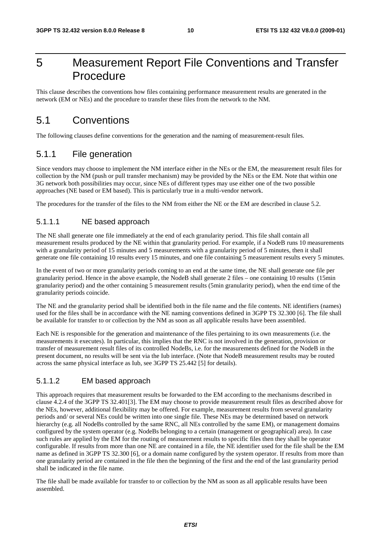# 5 Measurement Report File Conventions and Transfer Procedure

This clause describes the conventions how files containing performance measurement results are generated in the network (EM or NEs) and the procedure to transfer these files from the network to the NM.

# 5.1 Conventions

The following clauses define conventions for the generation and the naming of measurement-result files.

### 5.1.1 File generation

Since vendors may choose to implement the NM interface either in the NEs or the EM, the measurement result files for collection by the NM (push or pull transfer mechanism) may be provided by the NEs or the EM. Note that within one 3G network both possibilities may occur, since NEs of different types may use either one of the two possible approaches (NE based or EM based). This is particularly true in a multi-vendor network.

The procedures for the transfer of the files to the NM from either the NE or the EM are described in clause 5.2.

### 5.1.1.1 NE based approach

The NE shall generate one file immediately at the end of each granularity period. This file shall contain all measurement results produced by the NE within that granularity period. For example, if a NodeB runs 10 measurements with a granularity period of 15 minutes and 5 measurements with a granularity period of 5 minutes, then it shall generate one file containing 10 results every 15 minutes, and one file containing 5 measurement results every 5 minutes.

In the event of two or more granularity periods coming to an end at the same time, the NE shall generate one file per granularity period. Hence in the above example, the NodeB shall generate 2 files – one containing 10 results (15min granularity period) and the other containing 5 measurement results (5min granularity period), when the end time of the granularity periods coincide.

The NE and the granularity period shall be identified both in the file name and the file contents. NE identifiers (names) used for the files shall be in accordance with the NE naming conventions defined in 3GPP TS 32.300 [6]. The file shall be available for transfer to or collection by the NM as soon as all applicable results have been assembled.

Each NE is responsible for the generation and maintenance of the files pertaining to its own measurements (i.e. the measurements it executes). In particular, this implies that the RNC is not involved in the generation, provision or transfer of measurement result files of its controlled NodeBs, i.e. for the measurements defined for the NodeB in the present document, no results will be sent via the Iub interface. (Note that NodeB measurement results may be routed across the same physical interface as Iub, see 3GPP TS 25.442 [5] for details).

### 5.1.1.2 EM based approach

This approach requires that measurement results be forwarded to the EM according to the mechanisms described in clause 4.2.4 of the 3GPP TS 32.401[3]. The EM may choose to provide measurement result files as described above for the NEs, however, additional flexibility may be offered. For example, measurement results from several granularity periods and/ or several NEs could be written into one single file. These NEs may be determined based on network hierarchy (e.g. all NodeBs controlled by the same RNC, all NEs controlled by the same EM), or management domains configured by the system operator (e.g. NodeBs belonging to a certain (management or geographical) area). In case such rules are applied by the EM for the routing of measurement results to specific files then they shall be operator configurable. If results from more than one NE are contained in a file, the NE identifier used for the file shall be the EM name as defined in 3GPP TS 32.300 [6], or a domain name configured by the system operator. If results from more than one granularity period are contained in the file then the beginning of the first and the end of the last granularity period shall be indicated in the file name.

The file shall be made available for transfer to or collection by the NM as soon as all applicable results have been assembled.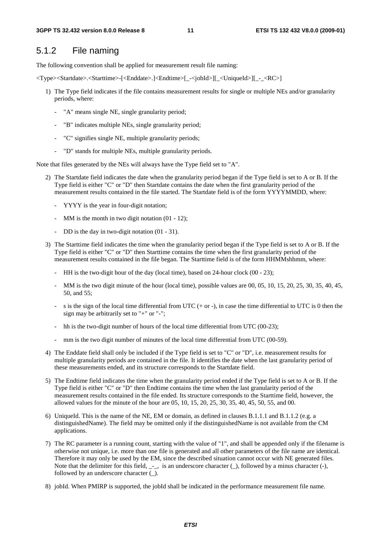### 5.1.2 File naming

The following convention shall be applied for measurement result file naming:

<Type><Startdate>.<Starttime>-[<Enddate>.]<Endtime>[\_-<jobId>][\_<UniqueId>][\_-\_<RC>]

- 1) The Type field indicates if the file contains measurement results for single or multiple NEs and/or granularity periods, where:
	- "A" means single NE, single granularity period;
	- "B" indicates multiple NEs, single granularity period;
	- "C" signifies single NE, multiple granularity periods;
	- "D" stands for multiple NEs, multiple granularity periods.

Note that files generated by the NEs will always have the Type field set to "A".

- 2) The Startdate field indicates the date when the granularity period began if the Type field is set to A or B. If the Type field is either "C" or "D" then Startdate contains the date when the first granularity period of the measurement results contained in the file started. The Startdate field is of the form YYYYMMDD, where:
	- YYYY is the year in four-digit notation;
	- MM is the month in two digit notation (01 12);
	- DD is the day in two-digit notation (01 31).
- 3) The Starttime field indicates the time when the granularity period began if the Type field is set to A or B. If the Type field is either "C" or "D" then Starttime contains the time when the first granularity period of the measurement results contained in the file began. The Starttime field is of the form HHMMshhmm, where:
	- HH is the two-digit hour of the day (local time), based on 24-hour clock (00 23);
	- MM is the two digit minute of the hour (local time), possible values are 00, 05, 10, 15, 20, 25, 30, 35, 40, 45, 50, and 55;
	- s is the sign of the local time differential from UTC  $(+ or -)$ , in case the time differential to UTC is 0 then the sign may be arbitrarily set to "+" or "-";
	- hh is the two-digit number of hours of the local time differential from UTC  $(00-23)$ ;
	- mm is the two digit number of minutes of the local time differential from UTC (00-59).
- 4) The Enddate field shall only be included if the Type field is set to "C" or "D", i.e. measurement results for multiple granularity periods are contained in the file. It identifies the date when the last granularity period of these measurements ended, and its structure corresponds to the Startdate field.
- 5) The Endtime field indicates the time when the granularity period ended if the Type field is set to A or B. If the Type field is either "C" or "D" then Endtime contains the time when the last granularity period of the measurement results contained in the file ended. Its structure corresponds to the Starttime field, however, the allowed values for the minute of the hour are 05, 10, 15, 20, 25, 30, 35, 40, 45, 50, 55, and 00.
- 6) UniqueId. This is the name of the NE, EM or domain, as defined in clauses B.1.1.1 and B.1.1.2 (e.g. a distinguishedName). The field may be omitted only if the distinguishedName is not available from the CM applications.
- 7) The RC parameter is a running count, starting with the value of "1", and shall be appended only if the filename is otherwise not unique, i.e. more than one file is generated and all other parameters of the file name are identical. Therefore it may only be used by the EM, since the described situation cannot occur with NE generated files. Note that the delimiter for this field,  $\_$ , is an underscore character  $($ ), followed by a minus character  $($ - $)$ , followed by an underscore character  $($  ).
- 8) jobId. When PMIRP is supported, the jobId shall be indicated in the performance measurement file name.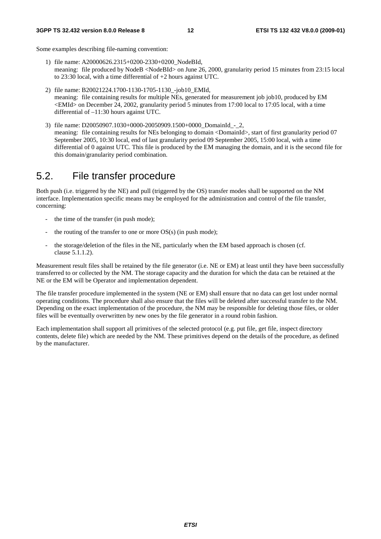Some examples describing file-naming convention:

- 1) file name: A20000626.2315+0200-2330+0200\_NodeBId, meaning: file produced by NodeB <NodeBId> on June 26, 2000, granularity period 15 minutes from 23:15 local to 23:30 local, with a time differential of +2 hours against UTC.
- 2) file name: B20021224.1700-1130-1705-1130\_-job10\_EMId, meaning: file containing results for multiple NEs, generated for measurement job job10, produced by EM <EMId> on December 24, 2002, granularity period 5 minutes from 17:00 local to 17:05 local, with a time differential of –11:30 hours against UTC.
- 3) file name: D20050907.1030+0000-20050909.1500+0000\_DomainId\_-\_2, meaning: file containing results for NEs belonging to domain <DomainId>, start of first granularity period 07 September 2005, 10:30 local, end of last granularity period 09 September 2005, 15:00 local, with a time differential of 0 against UTC. This file is produced by the EM managing the domain, and it is the second file for this domain/granularity period combination.

# 5.2. File transfer procedure

Both push (i.e. triggered by the NE) and pull (triggered by the OS) transfer modes shall be supported on the NM interface. Implementation specific means may be employed for the administration and control of the file transfer, concerning:

- the time of the transfer (in push mode);
- the routing of the transfer to one or more  $OS(s)$  (in push mode);
- the storage/deletion of the files in the NE, particularly when the EM based approach is chosen (cf. clause 5.1.1.2).

Measurement result files shall be retained by the file generator (i.e. NE or EM) at least until they have been successfully transferred to or collected by the NM. The storage capacity and the duration for which the data can be retained at the NE or the EM will be Operator and implementation dependent.

The file transfer procedure implemented in the system (NE or EM) shall ensure that no data can get lost under normal operating conditions. The procedure shall also ensure that the files will be deleted after successful transfer to the NM. Depending on the exact implementation of the procedure, the NM may be responsible for deleting those files, or older files will be eventually overwritten by new ones by the file generator in a round robin fashion.

Each implementation shall support all primitives of the selected protocol (e.g. put file, get file, inspect directory contents, delete file) which are needed by the NM. These primitives depend on the details of the procedure, as defined by the manufacturer.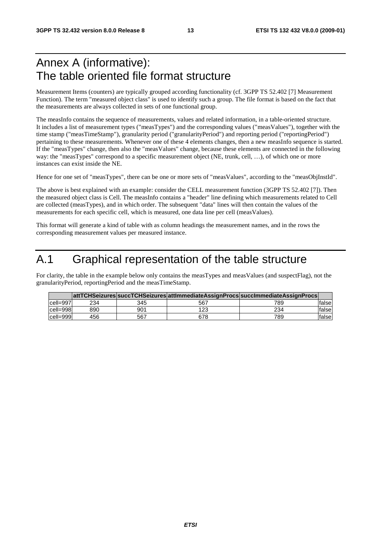# Annex A (informative): The table oriented file format structure

Measurement Items (counters) are typically grouped according functionality (cf. 3GPP TS 52.402 [7] Measurement Function). The term "measured object class" is used to identify such a group. The file format is based on the fact that the measurements are always collected in sets of one functional group.

The measInfo contains the sequence of measurements, values and related information, in a table-oriented structure. It includes a list of measurement types ("measTypes") and the corresponding values ("measValues"), together with the time stamp ("measTimeStamp"), granularity period ("granularityPeriod") and reporting period ("reportingPeriod") pertaining to these measurements. Whenever one of these 4 elements changes, then a new measInfo sequence is started. If the "measTypes" change, then also the "measValues" change, because these elements are connected in the following way: the "measTypes" correspond to a specific measurement object (NE, trunk, cell, …), of which one or more instances can exist inside the NE.

Hence for one set of "measTypes", there can be one or more sets of "measValues", according to the "measObjInstId".

The above is best explained with an example: consider the CELL measurement function (3GPP TS 52.402 [7]). Then the measured object class is Cell. The measInfo contains a "header" line defining which measurements related to Cell are collected (measTypes), and in which order. The subsequent "data" lines will then contain the values of the measurements for each specific cell, which is measured, one data line per cell (measValues).

This format will generate a kind of table with as column headings the measurement names, and in the rows the corresponding measurement values per measured instance.

# A.1 Graphical representation of the table structure

For clarity, the table in the example below only contains the measTypes and measValues (and suspectFlag), not the granularityPeriod, reportingPeriod and the measTimeStamp.

|            |     |     |     | attTCHSeizures succTCHSeizures attImmediateAssignProcs succImmediateAssignProcs |        |
|------------|-----|-----|-----|---------------------------------------------------------------------------------|--------|
| lcell=997l | 234 | 345 | 567 | 789                                                                             | falsel |
| cell=998   | 890 | 901 | 123 | 234                                                                             | falsel |
| cell=999   | 456 | 567 | 678 | 789                                                                             | falsel |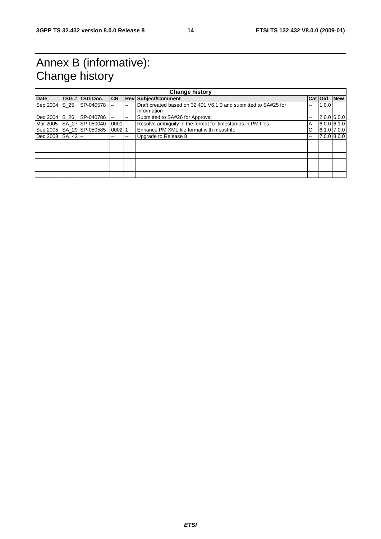# Annex B (informative): Change history

| <b>Change history</b> |      |                           |           |     |                                                                 |    |         |             |
|-----------------------|------|---------------------------|-----------|-----|-----------------------------------------------------------------|----|---------|-------------|
| <b>Date</b>           |      | TSG # TSG Doc.            | <b>CR</b> |     | <b>Rev Subject/Comment</b>                                      |    | Cat Old | <b>New</b>  |
| Sep 2004              | S 25 | SP-040578                 |           | --  | Draft created based on 32.401 V6.1.0 and submitted to SA#25 for | -- | 1.0.0   |             |
|                       |      |                           |           |     | Information                                                     |    |         |             |
| Dec 2004              | S 26 | SP-040786                 | --        | $-$ | Submitted to SA#26 for Approval                                 | -- |         | 2.0.0 6.0.0 |
|                       |      | Mar 2005 ISA 27 SP-050040 | $0001$ -- |     | Resolve ambiguity in the format for timestamps in PM files      | A  |         | 6.0.061.1.0 |
| Sep 2005              |      | SA 29 SP-050585           | 0002      |     | Enhance PM XML file format with measInfo                        | С  |         | 6.1.0 7.0.0 |
| Dec 2008 SA 42 --     |      |                           | --        | --  | Upgrade to Release 8                                            | -- |         | 7.0.0 8.0.0 |
|                       |      |                           |           |     |                                                                 |    |         |             |
|                       |      |                           |           |     |                                                                 |    |         |             |
|                       |      |                           |           |     |                                                                 |    |         |             |
|                       |      |                           |           |     |                                                                 |    |         |             |
|                       |      |                           |           |     |                                                                 |    |         |             |
|                       |      |                           |           |     |                                                                 |    |         |             |